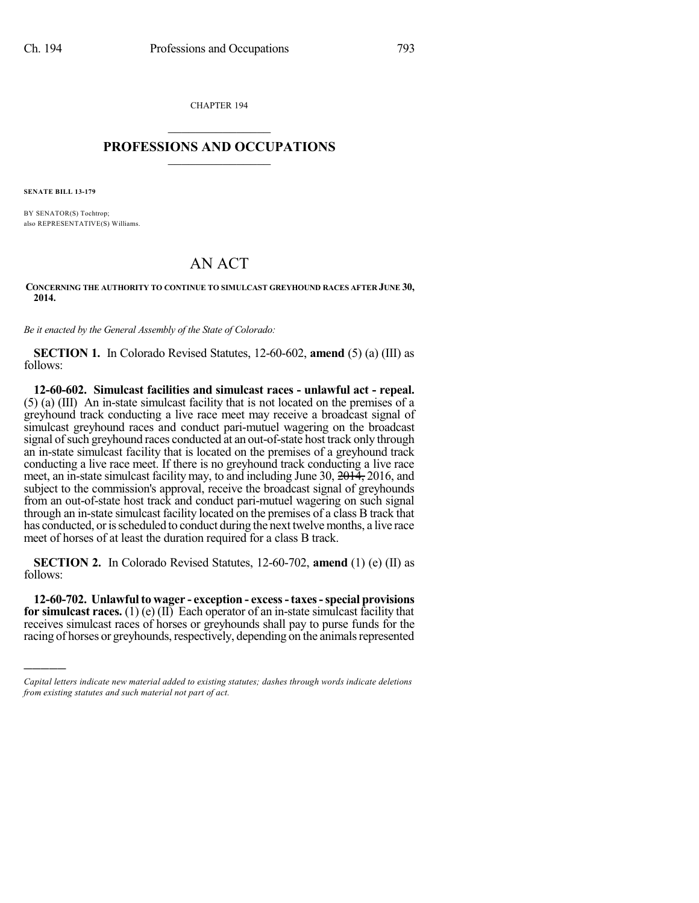CHAPTER 194  $\overline{\phantom{a}}$  . The set of the set of the set of the set of the set of the set of the set of the set of the set of the set of the set of the set of the set of the set of the set of the set of the set of the set of the set o

## **PROFESSIONS AND OCCUPATIONS**  $\frac{1}{2}$  ,  $\frac{1}{2}$  ,  $\frac{1}{2}$  ,  $\frac{1}{2}$  ,  $\frac{1}{2}$  ,  $\frac{1}{2}$

**SENATE BILL 13-179**

)))))

BY SENATOR(S) Tochtrop; also REPRESENTATIVE(S) Williams.

## AN ACT

**CONCERNING THE AUTHORITY TO CONTINUE TO SIMULCAST GREYHOUND RACES AFTER JUNE 30, 2014.**

*Be it enacted by the General Assembly of the State of Colorado:*

**SECTION 1.** In Colorado Revised Statutes, 12-60-602, **amend** (5) (a) (III) as follows:

**12-60-602. Simulcast facilities and simulcast races - unlawful act - repeal.** (5) (a) (III) An in-state simulcast facility that is not located on the premises of a greyhound track conducting a live race meet may receive a broadcast signal of simulcast greyhound races and conduct pari-mutuel wagering on the broadcast signal of such greyhound races conducted at an out-of-state host track only through an in-state simulcast facility that is located on the premises of a greyhound track conducting a live race meet. If there is no greyhound track conducting a live race meet, an in-state simulcast facility may, to and including June 30,  $\frac{2014}{7}$ , 2016, and subject to the commission's approval, receive the broadcast signal of greyhounds from an out-of-state host track and conduct pari-mutuel wagering on such signal through an in-state simulcast facility located on the premises of a class B track that has conducted, or is scheduled to conduct during the next twelve months, a live race meet of horses of at least the duration required for a class B track.

**SECTION 2.** In Colorado Revised Statutes, 12-60-702, **amend** (1) (e) (II) as follows:

**12-60-702. Unlawfulto wager - exception - excess-taxes-special provisions for simulcast races.** (1) (e) (II) Each operator of an in-state simulcast facility that receives simulcast races of horses or greyhounds shall pay to purse funds for the racing of horses or greyhounds, respectively, depending on the animals represented

*Capital letters indicate new material added to existing statutes; dashes through words indicate deletions from existing statutes and such material not part of act.*